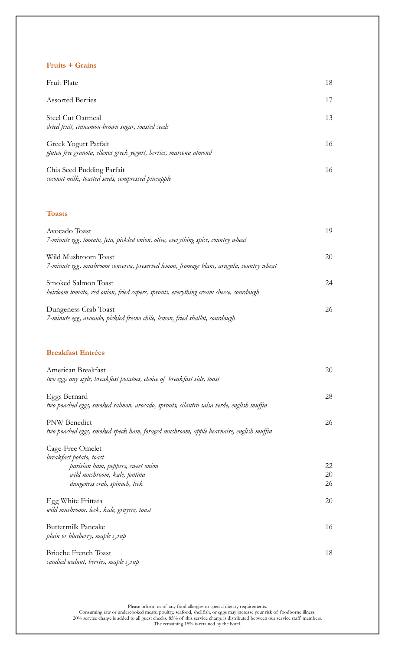## **Fruits + Grains**

| Fruit Plate                                                                                | 18 |
|--------------------------------------------------------------------------------------------|----|
| <b>Assorted Berries</b>                                                                    | 17 |
| <b>Steel Cut Oatmeal</b><br>dried fruit, cinnamon-brown sugar, toasted seeds               | 13 |
| Greek Yogurt Parfait<br>gluten free granola, ellenos greek yogurt, berries, marcona almond | 16 |
| Chia Seed Pudding Parfait<br>coconut milk, toasted seeds, compressed pineapple             | 16 |
| <b>Toasts</b>                                                                              |    |

| Avocado Toast<br>7-minute egg, tomato, feta, pickled onion, olive, everything spice, country wheat             | 19 |
|----------------------------------------------------------------------------------------------------------------|----|
| Wild Mushroom Toast<br>7-minute egg, mushroom conserva, preserved lemon, fromage blanc, arugula, country wheat | 20 |
| Smoked Salmon Toast<br>heirloom tomato, red onion, fried capers, sprouts, everything cream cheese, sourdough   | 24 |
| Dungeness Crab Toast<br>7-minute egg, avocado, pickled fresno chile, lemon, fried shallot, sourdough           | 26 |

## **Breakfast Entrées**

| American Breakfast                                                                      | 20 |
|-----------------------------------------------------------------------------------------|----|
| two eggs any style, breakfast potatoes, choice of breakfast side, toast                 |    |
| Eggs Bernard                                                                            | 28 |
| two poached eggs, smoked salmon, avocado, sprouts, cilantro salsa verde, english muffin |    |
| <b>PNW</b> Benedict                                                                     | 26 |
| two poached eggs, smoked speck ham, foraged mushroom, apple bearnaise, english muffin   |    |
| Cage-Free Omelet                                                                        |    |
| breakfast potato, toast                                                                 |    |
| parisian ham, peppers, sweet onion                                                      | 22 |
| wild mushroom, kale, fontina                                                            | 20 |
| dungeness crab, spinach, leek                                                           | 26 |
| Egg White Frittata                                                                      | 20 |
| wild mushroom, leek, kale, gruyere, toast                                               |    |
| Buttermilk Pancake                                                                      | 16 |
| plain or blueberry, maple syrup                                                         |    |
| <b>Brioche French Toast</b>                                                             | 18 |
| candied walnut, berries, maple syrup                                                    |    |

Please inform us of any food allergies or special dietary requirements.

Consuming raw or undercooked meats, poultry, seafood, shellfish, or eggs may increase your risk of foodborne illness. 20% service charge is added to all guest checks. 85% of this service charge is distributed between our service staff members. The remaining 15% is retained by the hotel.